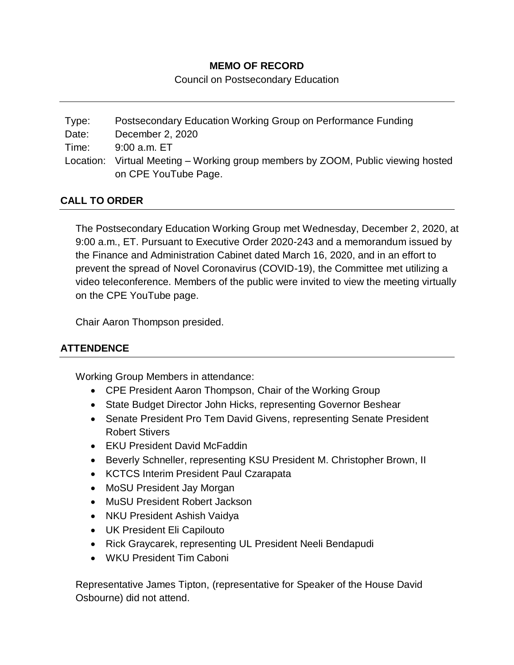# **MEMO OF RECORD**

Council on Postsecondary Education

Type: Postsecondary Education Working Group on Performance Funding Date: December 2, 2020 Time: 9:00 a.m. ET Location: Virtual Meeting – Working group members by ZOOM, Public viewing hosted on CPE YouTube Page.

# **CALL TO ORDER**

The Postsecondary Education Working Group met Wednesday, December 2, 2020, at 9:00 a.m., ET. Pursuant to Executive Order 2020-243 and a memorandum issued by the Finance and Administration Cabinet dated March 16, 2020, and in an effort to prevent the spread of Novel Coronavirus (COVID-19), the Committee met utilizing a video teleconference. Members of the public were invited to view the meeting virtually on the CPE YouTube page.

Chair Aaron Thompson presided.

## **ATTENDENCE**

Working Group Members in attendance:

- CPE President Aaron Thompson, Chair of the Working Group
- State Budget Director John Hicks, representing Governor Beshear
- Senate President Pro Tem David Givens, representing Senate President Robert Stivers
- FKU President David McFaddin
- Beverly Schneller, representing KSU President M. Christopher Brown, II
- KCTCS Interim President Paul Czarapata
- MoSU President Jay Morgan
- MuSU President Robert Jackson
- NKU President Ashish Vaidya
- UK President Eli Capilouto
- Rick Graycarek, representing UL President Neeli Bendapudi
- WKU President Tim Caboni

Representative James Tipton, (representative for Speaker of the House David Osbourne) did not attend.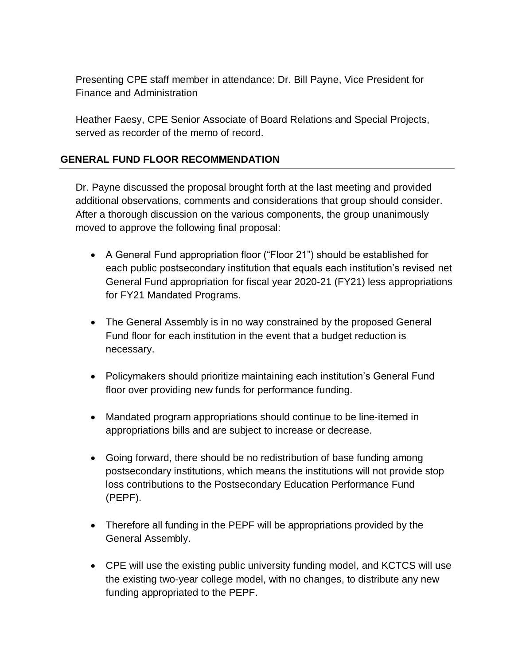Presenting CPE staff member in attendance: Dr. Bill Payne, Vice President for Finance and Administration

Heather Faesy, CPE Senior Associate of Board Relations and Special Projects, served as recorder of the memo of record.

## **GENERAL FUND FLOOR RECOMMENDATION**

Dr. Payne discussed the proposal brought forth at the last meeting and provided additional observations, comments and considerations that group should consider. After a thorough discussion on the various components, the group unanimously moved to approve the following final proposal:

- A General Fund appropriation floor ("Floor 21") should be established for each public postsecondary institution that equals each institution's revised net General Fund appropriation for fiscal year 2020‐21 (FY21) less appropriations for FY21 Mandated Programs.
- The General Assembly is in no way constrained by the proposed General Fund floor for each institution in the event that a budget reduction is necessary.
- Policymakers should prioritize maintaining each institution's General Fund floor over providing new funds for performance funding.
- Mandated program appropriations should continue to be line-itemed in appropriations bills and are subject to increase or decrease.
- Going forward, there should be no redistribution of base funding among postsecondary institutions, which means the institutions will not provide stop loss contributions to the Postsecondary Education Performance Fund (PEPF).
- Therefore all funding in the PEPF will be appropriations provided by the General Assembly.
- CPE will use the existing public university funding model, and KCTCS will use the existing two‐year college model, with no changes, to distribute any new funding appropriated to the PEPF.